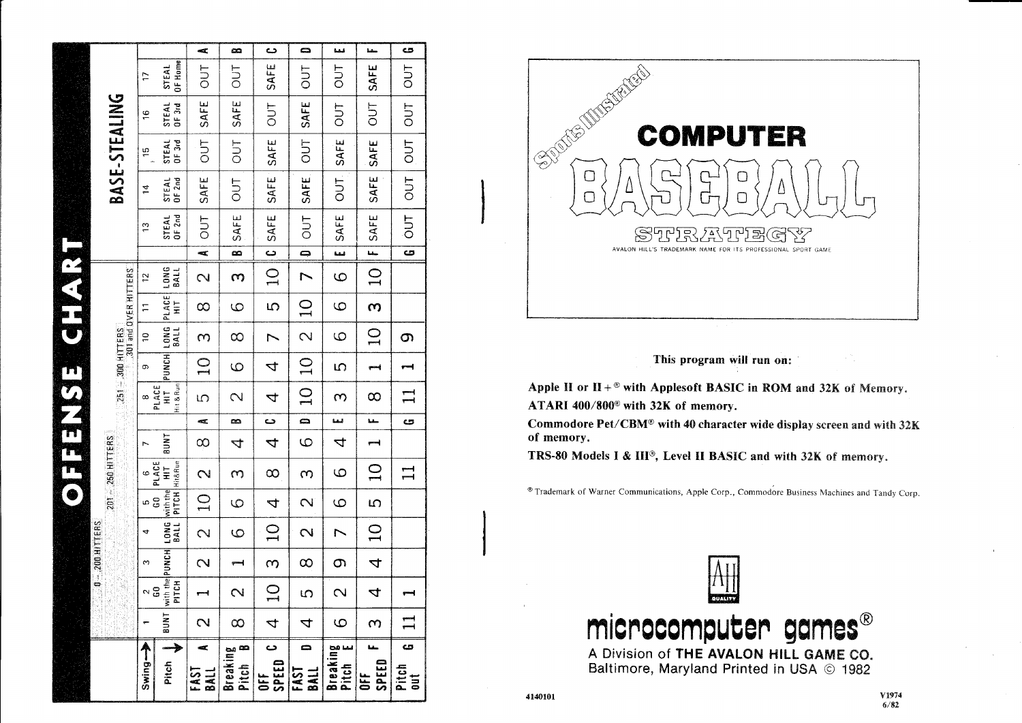|                      |                                                               |                                                                         | Æ,                          | œ                             | د                       | Ω                        | فبفية                      | سفنة           | C5                                               |
|----------------------|---------------------------------------------------------------|-------------------------------------------------------------------------|-----------------------------|-------------------------------|-------------------------|--------------------------|----------------------------|----------------|--------------------------------------------------|
|                      | Þ                                                             | OF Home<br>STEAL                                                        | TUO                         | 5 <sub>0</sub>                | SAFE                    | <b>TUO</b>               | <b>TUC</b>                 | SAFE           | 5 <sub>0</sub>                                   |
|                      | $\frac{6}{2}$                                                 | STEAL<br>$OF$ 3rd                                                       | SAFE                        | SAFE                          | <b>TUC</b>              | SAFE                     | <b>DUT</b>                 | $\frac{1}{2}$  | $ $ OUT $ $                                      |
| BASE-STEALING        | 51                                                            | OF3rd<br>STEAL                                                          | TUO                         | <b>TUC</b>                    | SAFE                    | <b>DUT</b>               | OUT SAFE                   | <b>SAFE</b>    | $rac{1}{2}$                                      |
|                      | 2                                                             | <b>OF 2nd</b><br>STEAL                                                  | SAFE                        | 50 <sup>1</sup>               | <b>SAFE</b>             | SAFE                     |                            | SAFE           | $ $ OUT $ $                                      |
|                      | 13                                                            | $OF$ 2nd<br>STEAL                                                       | TUD                         | SAFE                          | <b>SAFE</b>             | <b>OUT</b>               | <b>SAFE</b>                | SAFE           | $\frac{1}{2}$                                    |
|                      |                                                               |                                                                         | $\overline{z}$              | $\overline{\mathbf{a}}$       | $\overline{\mathbf{c}}$ | $\overline{\phantom{a}}$ | سا                         | $\overline{u}$ | $\overline{\mathbf{c}}$                          |
|                      | $\frac{1}{2}$                                                 | BALL                                                                    | $\mathbf{\sim}$             | m                             | $\Omega$                | $\overline{ }$           | ပ                          | $\Omega$       |                                                  |
| 301 and OVER HITTERS | $\overline{1}$                                                | PUNCH LONG PLACE LONG<br>$\frac{1}{2}$                                  | $\infty$                    | ပ                             | $\overline{5}$          | $\Omega$                 | 9                          | $\omega$       |                                                  |
|                      | $\overline{a}$                                                | BALL                                                                    | S                           | $\infty$                      | Σ                       | $\overline{\mathcal{C}}$ | ပ                          | $\Omega$       | S                                                |
| $251 - 300$ HITTERS  | o                                                             |                                                                         | $\Omega$                    | ပ                             | 4                       | $\Omega$                 | 5                          |                |                                                  |
|                      | $\infty$                                                      | Hit & Run<br>PLACE<br>$\overline{H}$                                    | S                           | $\sim$                        | 4                       | $\Omega$                 | $\infty$                   | $\infty$       | $\mathbf{I}$                                     |
|                      |                                                               |                                                                         | $\mathbf{a}_{\mathbf{a}}$   | œ                             | د <b>ے</b>              | $\overline{a}$           | لبما                       |                | ය                                                |
|                      | L                                                             | <b>INNE</b>                                                             | $\infty$                    | 4                             | 4                       | 9                        | 4                          |                |                                                  |
| $201 - 250$ HITTERS  | $\begin{array}{c} 6 \\ \hline 6 \\ \hline 10.40E \end{array}$ | PITCH Hit&Run                                                           | $\mathbf{\Omega}$           | $\infty$                      | $\infty$                | S                        | 9                          | Q              | $\mathbf{\mathbf{\mathbf{\mathbf{\mathbf{1}}}}}$ |
|                      | ი<br>ში                                                       |                                                                         | $\Omega$                    | $\circ$                       | $\overline{a}$          | $\mathbf{\Omega}$        | $\circ$                    | $\overline{5}$ |                                                  |
|                      | 4                                                             |                                                                         | $\overline{\mathcal{C}}$    | ပ                             | $\sum$                  | $\sim$                   | $\overline{\phantom{0}}$   | $\overline{Q}$ |                                                  |
| $0 - 200$ HITTERS    | S                                                             |                                                                         | $\mathbf{\Omega}$           |                               | $\infty$                | $\infty$                 | S                          | 4              |                                                  |
|                      | $\sim$ 3                                                      | BUNT with the PUNCH LONG with the HIT<br>PITCH BITCH BALL PITCH HIT&Run |                             | $\mathbf{\Omega}$             | $\mathbf{\Xi}$          | S                        | $\overline{\mathcal{C}}$   | 4              |                                                  |
|                      |                                                               |                                                                         | $\mathbf{\Omega}$           | $\infty$                      | 4                       | 4                        | 6                          | $\infty$       | $\mathbf{\mathbf{\mathbf{\mathbf{H}}}}$          |
|                      | A<br>Swing-                                                   | Pitch                                                                   | ×.<br>EAST<br>$\frac{1}{8}$ | $\infty$<br>Breaking<br>Pitch | د<br>SPEED<br>노<br>등    | 0<br>FAST<br>$\vec{a}$   | Breaking<br>Pitch<br>Pitch | SPEED<br>ă     | ය<br>Pitch<br>out                                |



#### This program will run on:

Apple II or  $II +$ <sup>®</sup> with Applesoft BASIC in ROM and 32K of Memory. ATARI 400/800<sup>®</sup> with 32K of memory.

Commodore Pet/CBM® with 40 character wide display screen and with 32K of memory.

TRS-80 Models I & III<sup>®</sup>, Level II BASIC and with 32K of memory.

<sup>®</sup> Trademark of Warner Communications, Apple Corp., Commodore Business Machines and Tandy Corp.



mes® microcomputer qa

A Division of THE AVALON HILL GAME CO. Baltimore, Maryland Printed in USA © 1982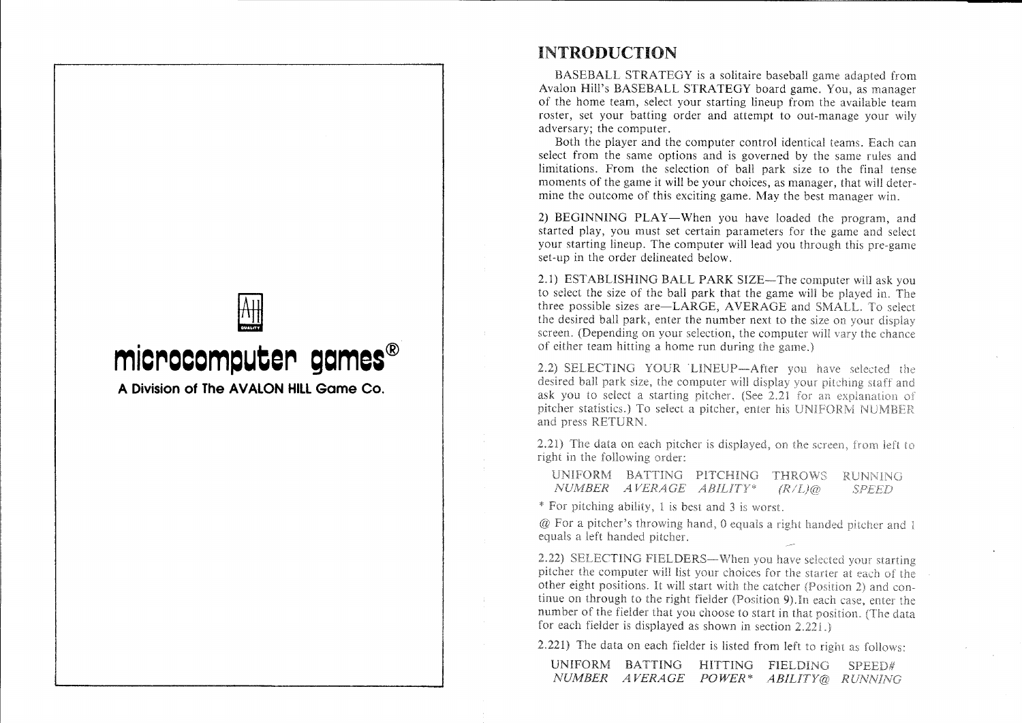

# INTRODUCTION

BASEBALL STRATEGY is a solitaire baseball game adapted from Avalon Hill's BASEBALL STRATEGY board game. You, as manager of the home team, select your starting lineup from the available team roster, set your batting order and attempt to out-manage your wily adversary; the computer.

Both the player and the computer control identical teams. Each can select from the same options and is governed by the same rules and limitations. From the selection of ball park size to the final tense moments of the game it will be your choices, as manager, that will determine the outcome of this exciting game. May the best manager win.

2) BEGINNING PLAY-When you have loaded the program, and started play, you must set certain parameters for the game and select your starting lineup. The computer will lead you through this pre-game set-up in the order delineated below.

2.1) ESTABLISHING BALL PARK SIZE—The computer will ask you to select the size of the ball park that the game will be played in. The three possible sizes are-LARGE, AVERAGE and SMALL. To select the desired ball park, enter the number next to the size on screen. (Depending on your selection, the computer will vary the chance of either team hitting a home run during the game.)

2.2) SELECTING YOUR LINEUP-After you have selected the desired ball park size, the computer will display your pitching staff and ask you to select a starting pitcher. (See 2.21 for an explanation of pitcher statistics.) To select a pitcher, enter his UNIFORM NUMBER and press RETURN.

2.21) The data on each pitcher is displayed, on the screen, from left to right in the following order:

UNIFORM BATTING PITCHING THROWS RUNNING *NUMBER*  $(R/L)$ @ **SPEED** 

\* For pitching ability, 1 is best and 3 is worst.

 $@$  For a pitcher's throwing hand, 0 equals a right handed pitcher and 1 equals a left handed pitcher.

2.22) SELECTING FIELDERS-When you have selected your starting pitcher the computer will list your choices for the starter at each of the other eight positions. It will start with the catcher (Position 2) and continue on through to the right fielder (Position 9). In each case, enter the number of the fielder that you choose to start in that position. (The data for each fielder is displayed as shown in section  $2.221$ .

2.221) The data on each fielder is listed from left to right as follows:

| UNIFORM | <b>BATTING</b>        | HITTING. | <b>FIELDING</b>         | SPEFD# |
|---------|-----------------------|----------|-------------------------|--------|
|         | <i>NUMBER AVERAGE</i> | POWER*   | <i>ABILITY@ RUNNING</i> |        |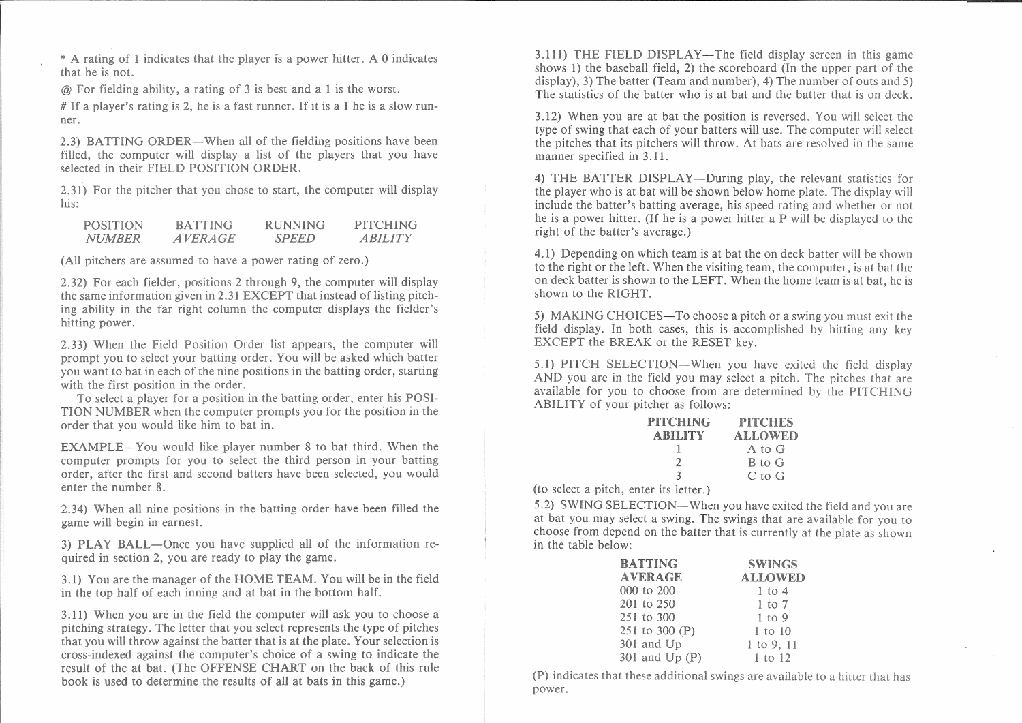\* A rating of 1 indicates that the player is a power hitter. A 0 indicates that he is not.

 $\omega$  For fielding ability, a rating of 3 is best and a 1 is the worst.

# If a player's rating is 2, he is a fast runner. If it is a 1 he is a slow runner.

2.3) BATTING ORDER—When all of the fielding positions have been filled, the computer will display a list of the players that you have selected in their FIELD POSITION ORDER.

2.31) For the pitcher that you chose to start, the computer will display his:

| <b>POSITION</b> | <b>BATTING</b> | <b>RUNNING</b> | <b>PITCHING</b> |
|-----------------|----------------|----------------|-----------------|
| <i>NUMBER</i>   | <i>AVERAGE</i> | <b>SPEED</b>   | <i>ARILITY</i>  |

(All pitchers are assumed to have a power rating of zero.)

2.32) For each fielder, positions 2 through 9, the computer will display the same information given in 2.31 EXCEPT that instead of listing pitching ability in the far right column the computer displays the fielder's hitting power.

2.33) When the Field Position Order list appears, the computer will prompt you to select your batting order. You will be asked which batter you want to bat in each of the nine positions in the batting order, starting with the first position in the order.

To select a player for a position in the batting order, enter his POSI-TION NUMBER when the computer prompts you for the position in the order that you would like him to bat in.

**EXAMPLE—You** would like player number 8 to bat third. When the computer prompts for you to select the third person in your batting order, after the first and second batters have been selected, you would enter the number 8.

2.34) When all nine positions in the batting order have been filled the game will begin in earnest.

3) PLAY BALL-Once you have supplied all of the information required in section 2, you are ready to play the game.

3.1) You are the manager of the HOME TEAM. You will be in the field in the top half of each inning and at bat in the bottom half.

3.11) When you are in the field the computer will ask you to choose a pitching strategy. The letter that you select represents the type of pitches that you will throw against the batter that is at the plate. Your selection is cross-indexed against the computer's choice of a swing to indicate the result of the at bat. (The OFFENSE CHART on the back of this rule book is used to determine the results of all at bats in this game.)

3.111) THE FIELD DISPLAY—The field display screen in this game shows 1) the baseball field, 2) the scoreboard (In the upper part of the  $display)$ , 3) The batter (Team and number), 4) The number of outs and 5) The statistics of the batter who is at bat and the batter that is on deck.

3.12) When you are at bat the position is reversed. You will select the type of swing that each of your batters will use. The computer will select the pitches that its pitchers will throw. At bats are resolved in the same manner specified in 3.11.

4) THE BATTER DISPLAY—During play, the relevant statistics for the player who is at bat will be shown below home plate. The display will include the batter's batting average, his speed rating and whether or not he is a power hitter. (If he is a power hitter a P will be displayed to the right of the batter's average.)

4.1) Depending on which team is at bat the on deck batter will be shown to the right or the left. When the visiting team, the computer, is at bat the on deck batter is shown to the LEFT. When the home team is at bat, he is shown to the RIGHT.

5) MAKING CHOICES—To choose a pitch or a swing you must exit the field display. In both cases, this is accomplished by hitting any key EXCEPT the BREAK or the RESET key.

5.1) PITCH SELECTION—When you have exited the field display AND you are in the field you may select a pitch. The pitches that are available for you to choose from are determined by the PITCHING ABILITY of your pitcher as follows:

| <b>PITCHING</b> | <b>PITCHES</b> |
|-----------------|----------------|
| <b>ABILITY</b>  | <b>ALLOWED</b> |
|                 | A to G         |
| 2.              | B to G         |
| К               | $C$ to $G$     |

(to select a pitch, enter its letter.)

5.2) SWING SELECTION—When you have exited the field and you are at bat you may select a swing. The swings that are available for you to choose from depend on the batter that is currently at the plate as shown in the table below:

| <b>BATTING</b> | <b>SWINGS</b>  |
|----------------|----------------|
| <b>AVERAGE</b> | <b>ALLOWED</b> |
| 000 to 200     | $1$ to $4$     |
| 201 to 250     | $1$ to $7$     |
| 251 to 300     | $1$ to 9       |
| 251 to 300 (P) | 1 to 10        |
| 301 and Up     | 1 to 9, 11     |
| 301 and Up (P) | 1 to 12        |

(P) indicates that these additional swings are available to a hitter that has power.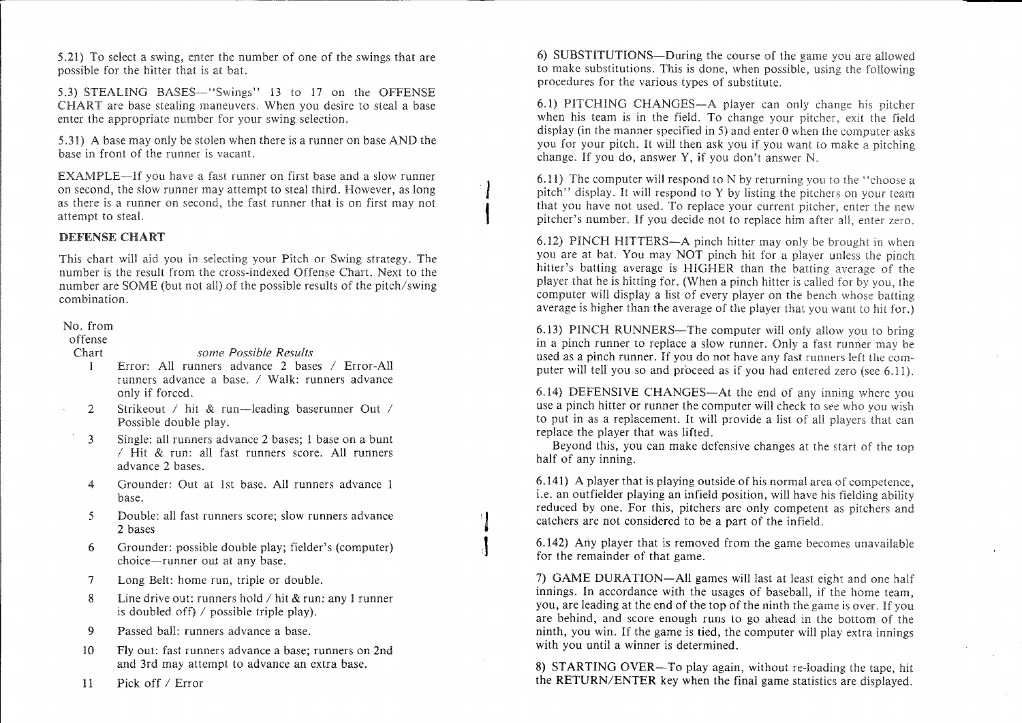$5.21$ ) To select a swing, enter the number of one of the swings that are possible for the hitter that is at bat.

5.3) STEALING BASES—"Swings" 13 to 17 on the OFFENSE CHART are base stealing maneuvers. When you desire to steal a base enter the appropriate number for your swing selection.

5.31) A base may only be stolen when there is a runner on base AND the base in front of the runner is vacant.

EXAMPLE-If you have a fast runner on first base and a slow runner on second, the slow runner may attempt to steal third. However, as long as there is a runner on second, the fast runner that is on first may not attempt to steal.

J t

#### DEFENSE CHART

This chart will aid you in selecting your Pitch or Swing strategy. The number is the result from the cross-indexed Offense Chart. Next to the number are SOME (but not all) of the possible results of the pitch/swing combination.

#### No. from

offense Chart

*some Possible Results*

- Error: All runners advance 2 bases / Error-All runners advance a base. / Walk: runners advance only if forced. I
- Strikeout / hit & run—leading baserunner Out / Possible double 2
- Single: all runners advance 2 bases; 1 base on a bunt / Hit & run: all fast runners score. All runners advance 2 bases. 3
- Grounder: Out at 1st base. All runners advance 1 base. 4
- Double: all fast runners score; slow runners advance 2 bases 5
- Grounder: possible double play; fielder's (computer) choice-runner out at any base. 6
- Long Belt: home run, triple or double. 7
- Line drive out: runners hold / hit & run: any 1 runner is doubled off)  $\ell$  possible triple play). 8
- Passed ball: runners advance a base. 9
- Fly out: fast runners advance a base; runners on 2nd and 3rd may attempt to advance an extra base. 10
- Pick off / Error 11

5.21) To select a swing, enter the number of one of the swings that are  $\qquad$  6) SUBSTITUTIONS-During the course of the game you are allowed to make substitutions. This is done, when possible, using the following procedures for the various types of substitute.

> 6.1) PITCHING CHANGES—A player can only change his pitcher when his team is in the field. To change your pitcher, exit the field display (in the manner specified in 5) and enter 0 when the computer asks you for your pitch. It will then ask you if you want to make a pitching change. If you do, answer Y, if you don't answer  $N$ .

> 6.11) The computer will respond to N by returning you to the "choose a pitch" display. It will respond to Y by listing the pitchers on your team that you have not used. To replace your current pitcher, enter the new pitcher's number. If you decide not to replace him after all, enter zero.

> 6.12) PINCH HITTERS—A pinch hitter may only be brought in when you are at bat. You may NOT pinch hit for a player unless the pinch hitter's batting average is HIGHER than the batting average of the player that he is hitting for. (When a pinch hitter is called for by you, the computer will display a list of every player on the bench whose batting average is higher than the average of the player that you want to hit for.)

> 6.13) PINCH RUNNERS—The computer will only allow you to bring in a pinch runner to replace a slow runner. Only a fast runner may be used as a pinch runner. If you do not have any fast runners left the computer will tell you so and proceed as if you had entered zero (see  $6.11$ ).

> 6.14) DEFENSIVE CHANGES—At the end of any inning where you use a pinch hitter or runner the computer will check to see who you wish to put in as a replacement. It will provide a list of all players that can replace the player that was lifted.

> Beyond this, you can make defensive changes at the start of the top half of any inning.

> 6.141) A player that is playing outside of his normal area of competence, i.e. an outfielder playing an infield position, will have his fielding ability reduced by one. For this, pitchers are only competent as pitchers and catchers are not considered to be a part of the infield.

> 6.142) Any player that is removed from the game becomes unavailable for the remainder of that game.

> 7) GAME DURATION-All games will last at least eight and one half innings. In accordance with the usages of baseball, if the home team, you, are leading at the end of the top of the ninth the game is over. If you are behind, and score enough runs to go ahead in the bottom of the ninth, you win. If the game is tied, the computer will play extra innings with you until a winner is determined.

> **8)** STARTING OVER-To play again, without fe-loading the tape, hit the RETURN/ENTER key when the final game statistics are displayed.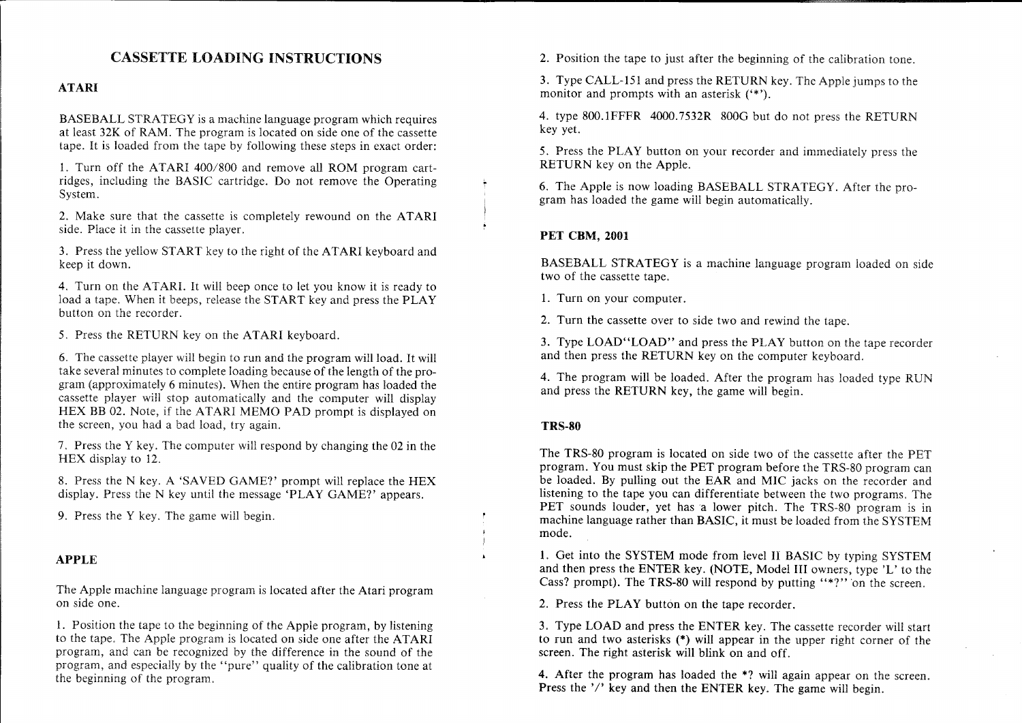# CASSETTE LOADING INSTRUCTIONS

### ATARI

BASEBALL STRATEGY is a machine language program which requires at least 32K of RAM. The program is located on side one of the cassette tape. It is loaded from the tape by following these steps in exact order:

1. Turn off the ATARI 400/S00 and remove all ROM program cartridges, including the BASIC cartridge. Do not remove the Operating System.

2. Make sure that the cassette is completely rewound on the ATARI side. Place it in the cassette player.

3. Press the yellow START key to the right of the ATARI keyboard and keep it down.

4. Turn on the ATARI. It will beep once to let you know it is ready to load a tape. When it beeps, release the START key and press the PLAY button on the recorder.

5. Press the RETURN key on the ATARI keyboard.

6. The cassette player will begin to run and the program will load. It will take several minutes to complete loading because of the length of the program (approximately 6 minutes). When the entire program has loaded the cassette player will stop automatically and the computer will display HEX BB 02. Note, if the ATARI MEMO PAD prompt is displayed on the screen, you had a bad load, try again.

7. Press the Y key. The computer will respond by changing the 02 in the HEX display to 12.

S. Press the N key. A 'SAVED GAME?' prompt will replace the HEX display. Press the N key until the message 'PLAY GAME?' appears.

9. Press the Y key. The game will begin.

### **APPLE**

The Apple machine language program is located after the Atari program on side one.

1. Position the tape to the beginning of the Apple program, by listening to the tape. The Apple program is located on side one after the ATARI program, and can be recognized by the difference in the sound of the program, and especially by the "pure" quality of the calibration tone at the beginning of the program.

2. Position the tape to just after the beginning of the calibration tone.

3. Type CALL-lSI and press the RETURN key. The Apple jumps to the monitor and prompts with an asterisk ('\*').

4. type SOO.IFFFR 4000.7S32R SOOG but do not press the RETURN key yet.

S. Press the PLAY button on your recorder and immediately press the RETURN key on the Apple.

6. The Apple is now loading BASEBALL STRATEGY. After the program has loaded the game will begin automatically.

### **PET** CBM, 2001

BASEBALL STRATEGY is a machine language program loaded on side two of the cassette tape.

1. Turn on your computer.

2. Turn the cassette over to side two and rewind the tape.

3. Type LOAD"LOAD" and press the PLAY button on the tape recorder and then press the RETURN key on the computer keyboard.

4. The program will be loaded. After the program has loaded type RUN and press the RETURN key, the game will begin.

### TRS·80

The TRS-SO program is located on side two of the cassette after the PET program. You must skip the PET program before the TRS-80 program can be loaded. By pulling out the EAR and MIC jacks on the recorder and listening to the tape you can differentiate between the two programs. The PET sounds louder, yet has a lower pitch. The TRS-80 program is in machine language rather than BASIC, it must be loaded from the SYSTEM mode.

1. Get into the SYSTEM mode from level II BASIC by typing SYSTEM and then press the ENTER key. (NOTE, Model III owners, type 'L' to the Cass? prompt). The TRS-80 will respond by putting "\*?" on the screen.

2. Press the PLAY button on the tape recorder.

3. Type LOAD and press the ENTER key. The cassette recorder will start to run and two asterisks (\*) will appear in the upper right corner of the screen. The right asterisk will blink on and off.

4. After the program has loaded the \*? will again appear on the screen. Press the  $'$ ' key and then the ENTER key. The game will begin.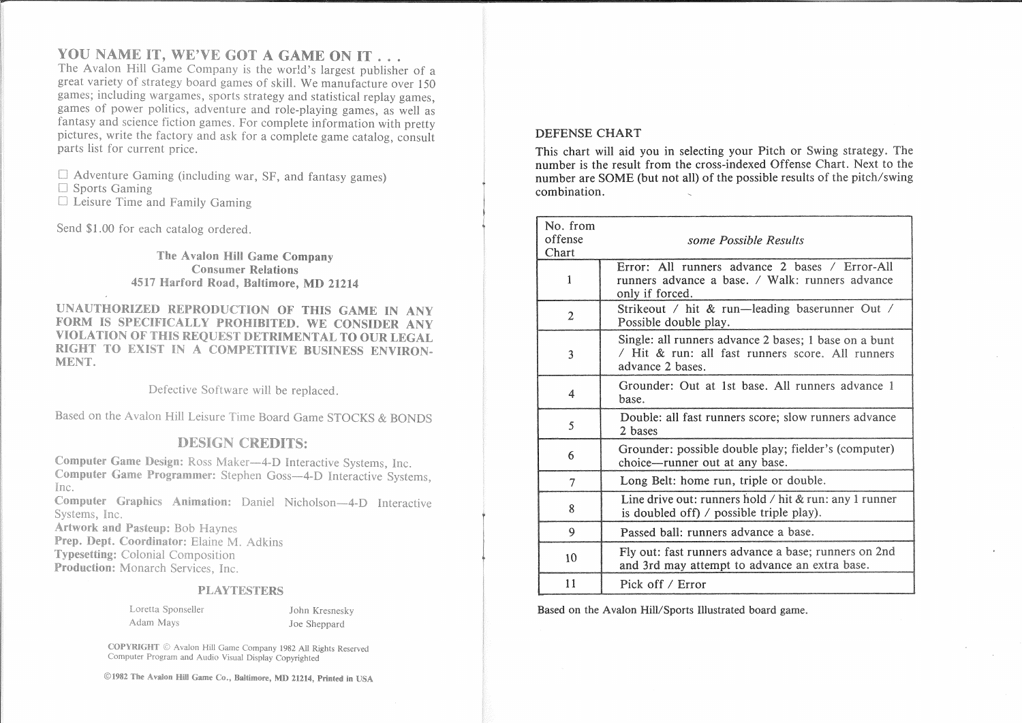## YOU NAME IT, WE'VE GOT A GAME ON IT . . .

The Avalon Hill Game Company is the world's largest publisher of a great variety of strategy board games of skill. We manufacture over 150 games; including wargames, sports strategy and statistical replay games, games of power politics, adventure and role-playing games, as well as fantasy and science fiction games. For complete information with pretty pictures, write the factory and ask for a complete game catalog, consult parts list for current price.

 $\Box$  Adventure Gaming (including war, SF, and fantasy games)

 $\Box$  Sports Gaming

□ Leisure Time and Family Gaming

Send \$1.00 for each catalog ordered.

The Avalon Hill Game Company **Consumer Relations** 4517 Harford Road, Baltimore, MD 21214

UNAUTHORIZED REPRODUCTION OF THIS GAME IN ANY FORM IS SPECIFICALLY PROHIBITED. WE CONSIDER ANY VIOLATION OF THIS REOUEST DETRIMENTAL TO OUR LEGAL RIGHT TO EXIST IN A COMPETITIVE BUSINESS ENVIRON-MENT.

Defective Software will be replaced.

Based on the Avalon Hill Leisure Time Board Game STOCKS & BONDS

## **DESIGN CREDITS:**

Computer Game Design: Ross Maker-4-D Interactive Systems, Inc. Computer Game Programmer: Stephen Goss-4-D Interactive Systems. Inc. Computer Graphics Animation: Daniel Nicholson-4-D Interactive

Systems, Inc.

**Artwork and Pasteup: Bob Havnes** 

Prep. Dept. Coordinator: Elaine M. Adkins **Typesetting:** Colonial Composition

Production: Monarch Services, Inc.

#### **PLAYTESTERS**

|           | Loretta Sponseller |
|-----------|--------------------|
| Adam Mays |                    |

John Kresnesky Joe Sheppard

COPYRIGHT © Avalon Hill Game Company 1982 All Rights Reserved Computer Program and Audio Visual Display Copyrighted

©1982 The Avalon Hill Game Co., Baltimore, MD 21214, Printed in USA

#### **DEFENSE CHART**

This chart will aid you in selecting your Pitch or Swing strategy. The number is the result from the cross-indexed Offense Chart. Next to the number are SOME (but not all) of the possible results of the pitch/swing combination.

| No. from<br>offense<br>Chart | some Possible Results                                                                                                         |
|------------------------------|-------------------------------------------------------------------------------------------------------------------------------|
| 1                            | Error: All runners advance 2 bases / Error-All<br>runners advance a base. / Walk: runners advance<br>only if forced.          |
| $\overline{2}$               | Strikeout / hit & run—leading baserunner Out /<br>Possible double play.                                                       |
| 3                            | Single: all runners advance 2 bases; 1 base on a bunt<br>/ Hit & run: all fast runners score. All runners<br>advance 2 bases. |
| 4                            | Grounder: Out at 1st base. All runners advance 1<br>base.                                                                     |
| 5                            | Double: all fast runners score; slow runners advance<br>2 bases                                                               |
| 6                            | Grounder: possible double play; fielder's (computer)<br>choice—runner out at any base.                                        |
| 7                            | Long Belt: home run, triple or double.                                                                                        |
| 8                            | Line drive out: runners hold $\ell$ hit & run: any 1 runner<br>is doubled off) $\prime$ possible triple play).                |
| 9                            | Passed ball: runners advance a base.                                                                                          |
| 10                           | Fly out: fast runners advance a base; runners on 2nd<br>and 3rd may attempt to advance an extra base.                         |
| 11                           | Pick off / Error                                                                                                              |

Based on the Avalon Hill/Sports Illustrated board game.